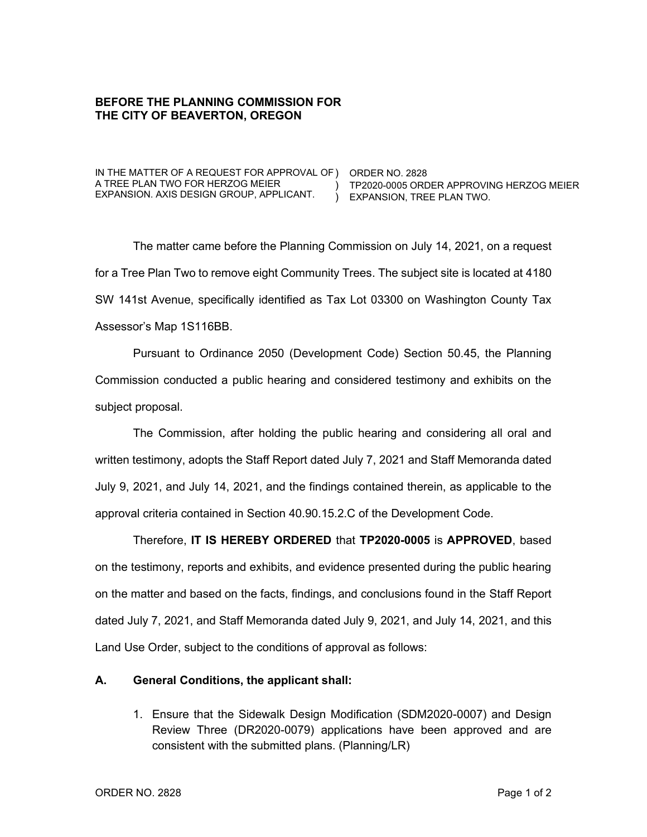## **BEFORE THE PLANNING COMMISSION FOR THE CITY OF BEAVERTON, OREGON**

IN THE MATTER OF A REQUEST FOR APPROVAL OF ) ORDER NO. 2828 A TREE PLAN TWO FOR HERZOG MEIER EXPANSION. AXIS DESIGN GROUP, APPLICANT.

) TP2020-0005 ORDER APPROVING HERZOG MEIER ) EXPANSION, TREE PLAN TWO.

The matter came before the Planning Commission on July 14, 2021, on a request for a Tree Plan Two to remove eight Community Trees. The subject site is located at 4180 SW 141st Avenue, specifically identified as Tax Lot 03300 on Washington County Tax Assessor's Map 1S116BB.

Pursuant to Ordinance 2050 (Development Code) Section 50.45, the Planning Commission conducted a public hearing and considered testimony and exhibits on the subject proposal.

The Commission, after holding the public hearing and considering all oral and written testimony, adopts the Staff Report dated July 7, 2021 and Staff Memoranda dated July 9, 2021, and July 14, 2021, and the findings contained therein, as applicable to the approval criteria contained in Section 40.90.15.2.C of the Development Code.

Therefore, **IT IS HEREBY ORDERED** that **TP2020-0005** is **APPROVED**, based on the testimony, reports and exhibits, and evidence presented during the public hearing on the matter and based on the facts, findings, and conclusions found in the Staff Report dated July 7, 2021, and Staff Memoranda dated July 9, 2021, and July 14, 2021, and this Land Use Order, subject to the conditions of approval as follows:

## **A. General Conditions, the applicant shall:**

1. Ensure that the Sidewalk Design Modification (SDM2020-0007) and Design Review Three (DR2020-0079) applications have been approved and are consistent with the submitted plans. (Planning/LR)